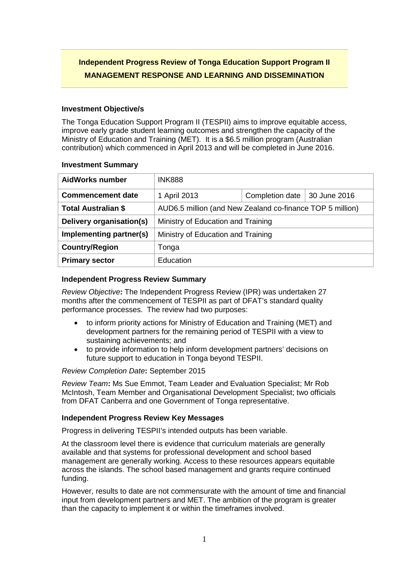# **Independent Progress Review of Tonga Education Support Program II MANAGEMENT RESPONSE AND LEARNING AND DISSEMINATION**

### **Investment Objective/s**

The Tonga Education Support Program II (TESPII) aims to improve equitable access, improve early grade student learning outcomes and strengthen the capacity of the Ministry of Education and Training (MET). It is a \$6.5 million program (Australian contribution) which commenced in April 2013 and will be completed in June 2016.

#### **Investment Summary**

| <b>AidWorks number</b>     | <b>INK888</b>                                             |                 |              |
|----------------------------|-----------------------------------------------------------|-----------------|--------------|
| <b>Commencement date</b>   | 1 April 2013                                              | Completion date | 30 June 2016 |
| <b>Total Australian \$</b> | AUD6.5 million (and New Zealand co-finance TOP 5 million) |                 |              |
| Delivery organisation(s)   | Ministry of Education and Training                        |                 |              |
| Implementing partner(s)    | Ministry of Education and Training                        |                 |              |
| <b>Country/Region</b>      | Tonga                                                     |                 |              |
| <b>Primary sector</b>      | Education                                                 |                 |              |

## **Independent Progress Review Summary**

*Review Objective***:** The Independent Progress Review (IPR) was undertaken 27 months after the commencement of TESPII as part of DFAT's standard quality performance processes. The review had two purposes:

- to inform priority actions for Ministry of Education and Training (MET) and development partners for the remaining period of TESPII with a view to sustaining achievements; and
- to provide information to help inform development partners' decisions on future support to education in Tonga beyond TESPII.

#### *Review Completion Date***:** September 2015

*Review Team***:** Ms Sue Emmot, Team Leader and Evaluation Specialist; Mr Rob McIntosh, Team Member and Organisational Development Specialist; two officials from DFAT Canberra and one Government of Tonga representative.

## **Independent Progress Review Key Messages**

Progress in delivering TESPII's intended outputs has been variable.

At the classroom level there is evidence that curriculum materials are generally available and that systems for professional development and school based management are generally working. Access to these resources appears equitable across the islands. The school based management and grants require continued funding.

However, results to date are not commensurate with the amount of time and financial input from development partners and MET. The ambition of the program is greater than the capacity to implement it or within the timeframes involved.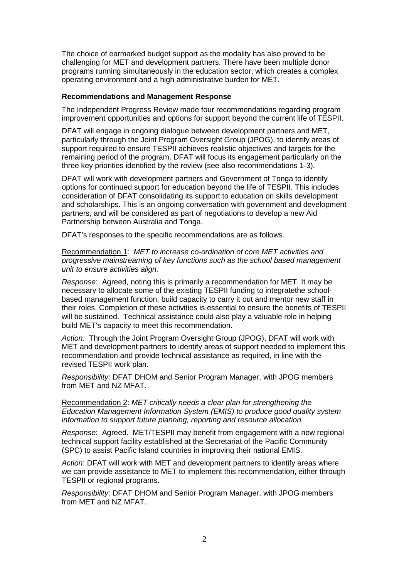The choice of earmarked budget support as the modality has also proved to be challenging for MET and development partners. There have been multiple donor programs running simultaneously in the education sector, which creates a complex operating environment and a high administrative burden for MET.

#### **Recommendations and Management Response**

The Independent Progress Review made four recommendations regarding program improvement opportunities and options for support beyond the current life of TESPII.

DFAT will engage in ongoing dialogue between development partners and MET, particularly through the Joint Program Oversight Group (JPOG), to identify areas of support required to ensure TESPII achieves realistic objectives and targets for the remaining period of the program. DFAT will focus its engagement particularly on the three key priorities identified by the review (see also recommendations 1-3).

DFAT will work with development partners and Government of Tonga to identify options for continued support for education beyond the life of TESPII. This includes consideration of DFAT consolidating its support to education on skills development and scholarships. This is an ongoing conversation with government and development partners, and will be considered as part of negotiations to develop a new Aid Partnership between Australia and Tonga.

DFAT's responses to the specific recommendations are as follows.

Recommendation 1: *MET to increase co-ordination of core MET activities and progressive mainstreaming of key functions such as the school based management unit to ensure activities align.* 

*Response*: Agreed, noting this is primarily a recommendation for MET. It may be necessary to allocate some of the existing TESPII funding to integratethe schoolbased management function, build capacity to carry it out and mentor new staff in their roles. Completion of these activities is essential to ensure the benefits of TESPII will be sustained. Technical assistance could also play a valuable role in helping build MET's capacity to meet this recommendation.

*Action:* Through the Joint Program Oversight Group (JPOG), DFAT will work with MET and development partners to identify areas of support needed to implement this recommendation and provide technical assistance as required, in line with the revised TESPII work plan.

*Responsibility*: DFAT DHOM and Senior Program Manager, with JPOG members from MET and NZ MFAT.

Recommendation 2: *MET critically needs a clear plan for strengthening the Education Management Information System (EMIS) to produce good quality system information to support future planning, reporting and resource allocation.* 

*Response*: Agreed. MET/TESPII may benefit from engagement with a new regional technical support facility established at the Secretariat of the Pacific Community (SPC) to assist Pacific Island countries in improving their national EMIS.

*Action*: DFAT will work with MET and development partners to identify areas where we can provide assistance to MET to implement this recommendation, either through TESPII or regional programs.

*Responsibility*: DFAT DHOM and Senior Program Manager, with JPOG members from MFT and NZ MFAT.